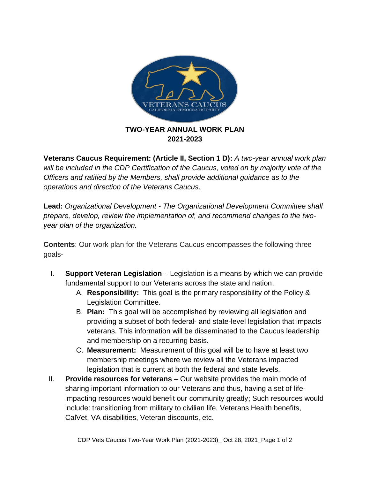

**2021-2023**

**Veterans Caucus Requirement: (Article II, Section 1 D):** *A two-year annual work plan will be included in the CDP Certification of the Caucus, voted on by majority vote of the Officers and ratified by the Members, shall provide additional guidance as to the operations and direction of the Veterans Caucus*.

**Lead:** *Organizational Development - The Organizational Development Committee shall prepare, develop, review the implementation of, and recommend changes to the twoyear plan of the organization.*

**Contents**: Our work plan for the Veterans Caucus encompasses the following three goals-

- I. **Support Veteran Legislation**  Legislation is a means by which we can provide fundamental support to our Veterans across the state and nation.
	- A. **Responsibility:** This goal is the primary responsibility of the Policy & Legislation Committee.
	- B. **Plan:** This goal will be accomplished by reviewing all legislation and providing a subset of both federal- and state-level legislation that impacts veterans. This information will be disseminated to the Caucus leadership and membership on a recurring basis.
	- C. **Measurement:** Measurement of this goal will be to have at least two membership meetings where we review all the Veterans impacted legislation that is current at both the federal and state levels.
- II. **Provide resources for veterans**  Our website provides the main mode of sharing important information to our Veterans and thus, having a set of lifeimpacting resources would benefit our community greatly; Such resources would include: transitioning from military to civilian life, Veterans Health benefits, CalVet, VA disabilities, Veteran discounts, etc.